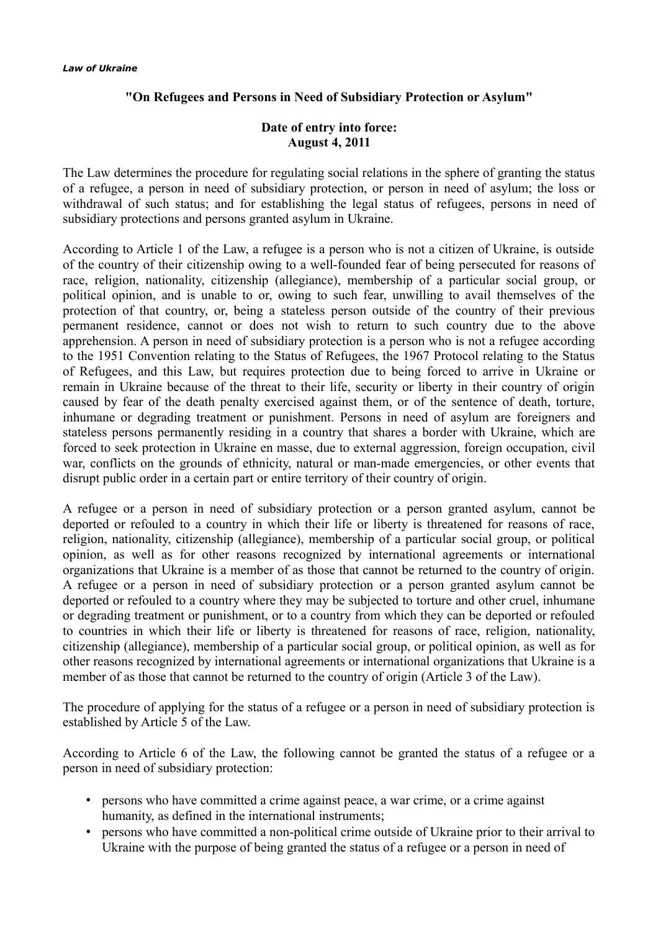## **"On Refugees and Persons in Need of Subsidiary Protection or Asylum"**

## **Date of entry into force: August 4, 2011**

The Law determines the procedure for regulating social relations in the sphere of granting the status of a refugee, a person in need of subsidiary protection, or person in need of asylum; the loss or withdrawal of such status; and for establishing the legal status of refugees, persons in need of subsidiary protections and persons granted asylum in Ukraine.

According to Article 1 of the Law, a refugee is a person who is not a citizen of Ukraine, is outside of the country of their citizenship owing to a well-founded fear of being persecuted for reasons of race, religion, nationality, citizenship (allegiance), membership of a particular social group, or political opinion, and is unable to or, owing to such fear, unwilling to avail themselves of the protection of that country, or, being a stateless person outside of the country of their previous permanent residence, cannot or does not wish to return to such country due to the above apprehension. A person in need of subsidiary protection is a person who is not a refugee according to the 1951 Convention relating to the Status of Refugees, the 1967 Protocol relating to the Status of Refugees, and this Law, but requires protection due to being forced to arrive in Ukraine or remain in Ukraine because of the threat to their life, security or liberty in their country of origin caused by fear of the death penalty exercised against them, or of the sentence of death, torture, inhumane or degrading treatment or punishment. Persons in need of asylum are foreigners and stateless persons permanently residing in a country that shares a border with Ukraine, which are forced to seek protection in Ukraine en masse, due to external aggression, foreign occupation, civil war, conflicts on the grounds of ethnicity, natural or man-made emergencies, or other events that disrupt public order in a certain part or entire territory of their country of origin.

A refugee or a person in need of subsidiary protection or a person granted asylum, cannot be deported or refouled to a country in which their life or liberty is threatened for reasons of race, religion, nationality, citizenship (allegiance), membership of a particular social group, or political opinion, as well as for other reasons recognized by international agreements or international organizations that Ukraine is a member of as those that cannot be returned to the country of origin. A refugee or a person in need of subsidiary protection or a person granted asylum cannot be deported or refouled to a country where they may be subjected to torture and other cruel, inhumane or degrading treatment or punishment, or to a country from which they can be deported or refouled to countries in which their life or liberty is threatened for reasons of race, religion, nationality, citizenship (allegiance), membership of a particular social group, or political opinion, as well as for other reasons recognized by international agreements or international organizations that Ukraine is a member of as those that cannot be returned to the country of origin (Article 3 of the Law).

The procedure of applying for the status of a refugee or a person in need of subsidiary protection is established by Article 5 of the Law.

According to Article 6 of the Law, the following cannot be granted the status of a refugee or a person in need of subsidiary protection:

- persons who have committed a crime against peace, a war crime, or a crime against humanity, as defined in the international instruments;
- persons who have committed a non-political crime outside of Ukraine prior to their arrival to Ukraine with the purpose of being granted the status of a refugee or a person in need of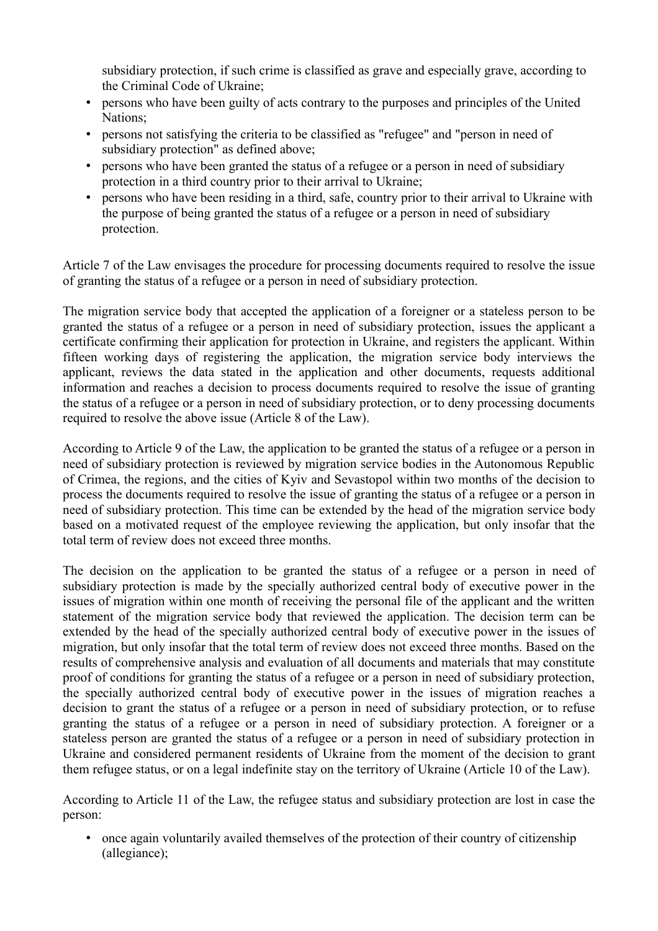subsidiary protection, if such crime is classified as grave and especially grave, according to the Criminal Code of Ukraine;

- persons who have been guilty of acts contrary to the purposes and principles of the United Nations;
- persons not satisfying the criteria to be classified as "refugee" and "person in need of subsidiary protection" as defined above;
- persons who have been granted the status of a refugee or a person in need of subsidiary protection in a third country prior to their arrival to Ukraine;
- persons who have been residing in a third, safe, country prior to their arrival to Ukraine with the purpose of being granted the status of a refugee or a person in need of subsidiary protection.

Article 7 of the Law envisages the procedure for processing documents required to resolve the issue of granting the status of a refugee or a person in need of subsidiary protection.

The migration service body that accepted the application of a foreigner or a stateless person to be granted the status of a refugee or a person in need of subsidiary protection, issues the applicant a certificate confirming their application for protection in Ukraine, and registers the applicant. Within fifteen working days of registering the application, the migration service body interviews the applicant, reviews the data stated in the application and other documents, requests additional information and reaches a decision to process documents required to resolve the issue of granting the status of a refugee or a person in need of subsidiary protection, or to deny processing documents required to resolve the above issue (Article 8 of the Law).

According to Article 9 of the Law, the application to be granted the status of a refugee or a person in need of subsidiary protection is reviewed by migration service bodies in the Autonomous Republic of Crimea, the regions, and the cities of Kyiv and Sevastopol within two months of the decision to process the documents required to resolve the issue of granting the status of a refugee or a person in need of subsidiary protection. This time can be extended by the head of the migration service body based on a motivated request of the employee reviewing the application, but only insofar that the total term of review does not exceed three months.

The decision on the application to be granted the status of a refugee or a person in need of subsidiary protection is made by the specially authorized central body of executive power in the issues of migration within one month of receiving the personal file of the applicant and the written statement of the migration service body that reviewed the application. The decision term can be extended by the head of the specially authorized central body of executive power in the issues of migration, but only insofar that the total term of review does not exceed three months. Based on the results of comprehensive analysis and evaluation of all documents and materials that may constitute proof of conditions for granting the status of a refugee or a person in need of subsidiary protection, the specially authorized central body of executive power in the issues of migration reaches a decision to grant the status of a refugee or a person in need of subsidiary protection, or to refuse granting the status of a refugee or a person in need of subsidiary protection. A foreigner or a stateless person are granted the status of a refugee or a person in need of subsidiary protection in Ukraine and considered permanent residents of Ukraine from the moment of the decision to grant them refugee status, or on a legal indefinite stay on the territory of Ukraine (Article 10 of the Law).

According to Article 11 of the Law, the refugee status and subsidiary protection are lost in case the person:

• once again voluntarily availed themselves of the protection of their country of citizenship (allegiance);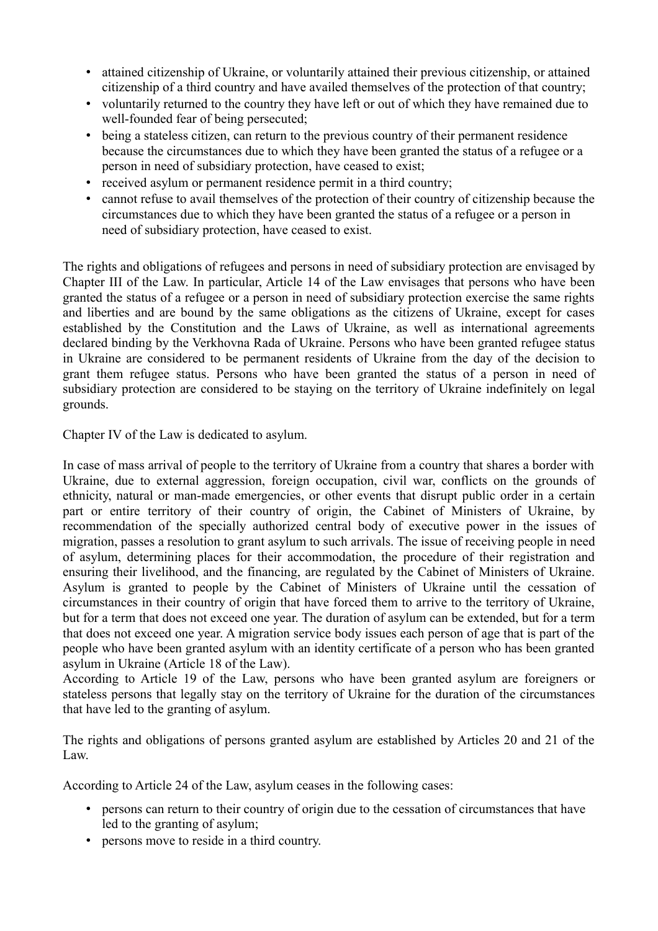- attained citizenship of Ukraine, or voluntarily attained their previous citizenship, or attained citizenship of a third country and have availed themselves of the protection of that country;
- voluntarily returned to the country they have left or out of which they have remained due to well-founded fear of being persecuted;
- being a stateless citizen, can return to the previous country of their permanent residence because the circumstances due to which they have been granted the status of a refugee or a person in need of subsidiary protection, have ceased to exist;
- received asylum or permanent residence permit in a third country;
- cannot refuse to avail themselves of the protection of their country of citizenship because the circumstances due to which they have been granted the status of a refugee or a person in need of subsidiary protection, have ceased to exist.

The rights and obligations of refugees and persons in need of subsidiary protection are envisaged by Chapter III of the Law. In particular, Article 14 of the Law envisages that persons who have been granted the status of a refugee or a person in need of subsidiary protection exercise the same rights and liberties and are bound by the same obligations as the citizens of Ukraine, except for cases established by the Constitution and the Laws of Ukraine, as well as international agreements declared binding by the Verkhovna Rada of Ukraine. Persons who have been granted refugee status in Ukraine are considered to be permanent residents of Ukraine from the day of the decision to grant them refugee status. Persons who have been granted the status of a person in need of subsidiary protection are considered to be staying on the territory of Ukraine indefinitely on legal grounds.

Chapter IV of the Law is dedicated to asylum.

In case of mass arrival of people to the territory of Ukraine from a country that shares a border with Ukraine, due to external aggression, foreign occupation, civil war, conflicts on the grounds of ethnicity, natural or man-made emergencies, or other events that disrupt public order in a certain part or entire territory of their country of origin, the Cabinet of Ministers of Ukraine, by recommendation of the specially authorized central body of executive power in the issues of migration, passes a resolution to grant asylum to such arrivals. The issue of receiving people in need of asylum, determining places for their accommodation, the procedure of their registration and ensuring their livelihood, and the financing, are regulated by the Cabinet of Ministers of Ukraine. Asylum is granted to people by the Cabinet of Ministers of Ukraine until the cessation of circumstances in their country of origin that have forced them to arrive to the territory of Ukraine, but for a term that does not exceed one year. The duration of asylum can be extended, but for a term that does not exceed one year. A migration service body issues each person of age that is part of the people who have been granted asylum with an identity certificate of a person who has been granted asylum in Ukraine (Article 18 of the Law).

According to Article 19 of the Law, persons who have been granted asylum are foreigners or stateless persons that legally stay on the territory of Ukraine for the duration of the circumstances that have led to the granting of asylum.

The rights and obligations of persons granted asylum are established by Articles 20 and 21 of the Law.

According to Article 24 of the Law, asylum ceases in the following cases:

- persons can return to their country of origin due to the cessation of circumstances that have led to the granting of asylum;
- persons move to reside in a third country.